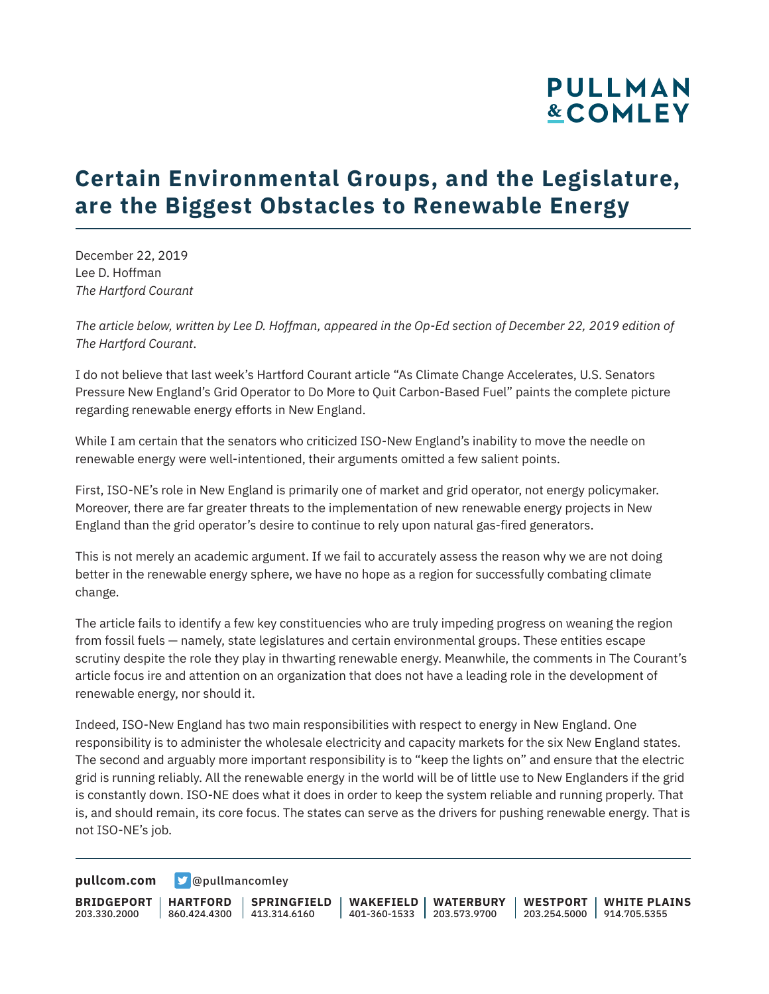# **PULLMAN &COMLEY**

## **Certain Environmental Groups, and the Legislature, are the Biggest Obstacles to Renewable Energy**

December 22, 2019 Lee D. Hoffman *The Hartford Courant*

*The article below, written by Lee D. Hoffman, appeared in the Op-Ed section of December 22, 2019 edition of The Hartford Courant*.

I do not believe that last week's Hartford Courant article "As Climate Change Accelerates, U.S. Senators Pressure New England's Grid Operator to Do More to Quit Carbon-Based Fuel" paints the complete picture regarding renewable energy efforts in New England.

While I am certain that the senators who criticized ISO-New England's inability to move the needle on renewable energy were well-intentioned, their arguments omitted a few salient points.

First, ISO-NE's role in New England is primarily one of market and grid operator, not energy policymaker. Moreover, there are far greater threats to the implementation of new renewable energy projects in New England than the grid operator's desire to continue to rely upon natural gas-fired generators.

This is not merely an academic argument. If we fail to accurately assess the reason why we are not doing better in the renewable energy sphere, we have no hope as a region for successfully combating climate change.

The article fails to identify a few key constituencies who are truly impeding progress on weaning the region from fossil fuels — namely, state legislatures and certain environmental groups. These entities escape scrutiny despite the role they play in thwarting renewable energy. Meanwhile, the comments in The Courant's article focus ire and attention on an organization that does not have a leading role in the development of renewable energy, nor should it.

Indeed, ISO-New England has two main responsibilities with respect to energy in New England. One responsibility is to administer the wholesale electricity and capacity markets for the six New England states. The second and arguably more important responsibility is to "keep the lights on" and ensure that the electric grid is running reliably. All the renewable energy in the world will be of little use to New Englanders if the grid is constantly down. ISO-NE does what it does in order to keep the system reliable and running properly. That is, and should remain, its core focus. The states can serve as the drivers for pushing renewable energy. That is not ISO-NE's job.

**[pullcom.com](https://www.pullcom.com) g** [@pullmancomley](https://twitter.com/PullmanComley)

**BRIDGEPORT HARTFORD** 203.330.2000 860.424.4300 413.314.6160 **SPRINGFIELD WAKEFIELD WATERBURY** 401-360-1533 203.573.9700 **WESTPORT WHITE PLAINS** 203.254.5000 914.705.5355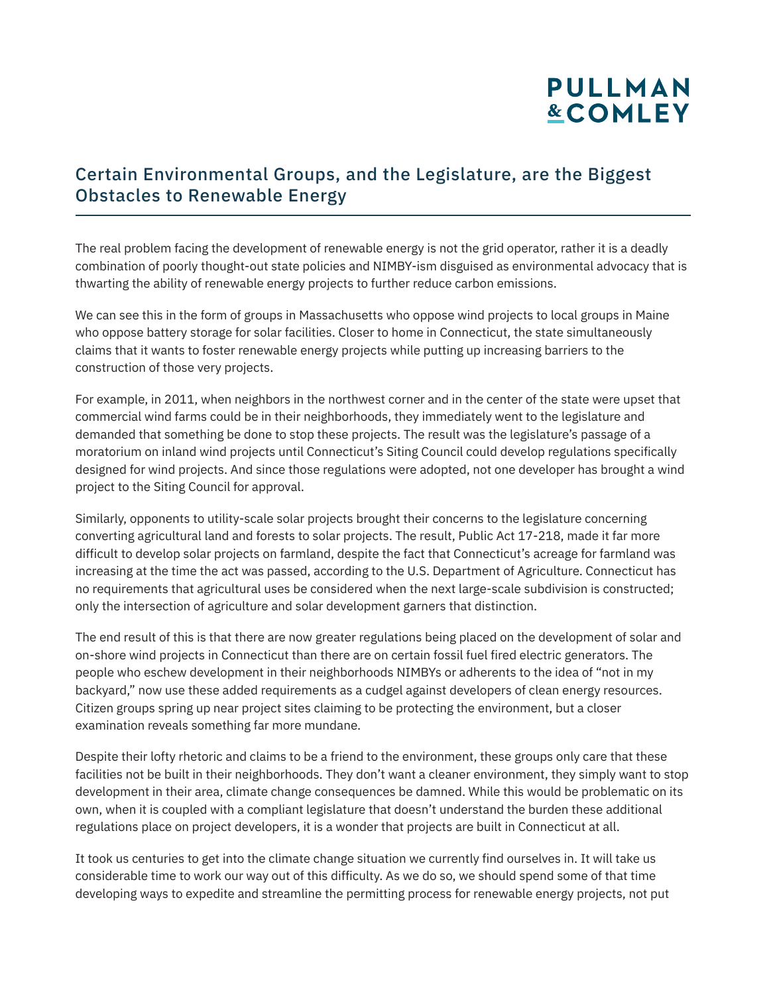# **PULLMAN &COMLEY**

### Certain Environmental Groups, and the Legislature, are the Biggest Obstacles to Renewable Energy

The real problem facing the development of renewable energy is not the grid operator, rather it is a deadly combination of poorly thought-out state policies and NIMBY-ism disguised as environmental advocacy that is thwarting the ability of renewable energy projects to further reduce carbon emissions.

We can see this in the form of groups in Massachusetts who oppose wind projects to local groups in Maine who oppose battery storage for solar facilities. Closer to home in Connecticut, the state simultaneously claims that it wants to foster renewable energy projects while putting up increasing barriers to the construction of those very projects.

For example, in 2011, when neighbors in the northwest corner and in the center of the state were upset that commercial wind farms could be in their neighborhoods, they immediately went to the legislature and demanded that something be done to stop these projects. The result was the legislature's passage of a moratorium on inland wind projects until Connecticut's Siting Council could develop regulations specifically designed for wind projects. And since those regulations were adopted, not one developer has brought a wind project to the Siting Council for approval.

Similarly, opponents to utility-scale solar projects brought their concerns to the legislature concerning converting agricultural land and forests to solar projects. The result, Public Act 17-218, made it far more difficult to develop solar projects on farmland, despite the fact that Connecticut's acreage for farmland was increasing at the time the act was passed, according to the U.S. Department of Agriculture. Connecticut has no requirements that agricultural uses be considered when the next large-scale subdivision is constructed; only the intersection of agriculture and solar development garners that distinction.

The end result of this is that there are now greater regulations being placed on the development of solar and on-shore wind projects in Connecticut than there are on certain fossil fuel fired electric generators. The people who eschew development in their neighborhoods NIMBYs or adherents to the idea of "not in my backyard," now use these added requirements as a cudgel against developers of clean energy resources. Citizen groups spring up near project sites claiming to be protecting the environment, but a closer examination reveals something far more mundane.

Despite their lofty rhetoric and claims to be a friend to the environment, these groups only care that these facilities not be built in their neighborhoods. They don't want a cleaner environment, they simply want to stop development in their area, climate change consequences be damned. While this would be problematic on its own, when it is coupled with a compliant legislature that doesn't understand the burden these additional regulations place on project developers, it is a wonder that projects are built in Connecticut at all.

It took us centuries to get into the climate change situation we currently find ourselves in. It will take us considerable time to work our way out of this difficulty. As we do so, we should spend some of that time developing ways to expedite and streamline the permitting process for renewable energy projects, not put